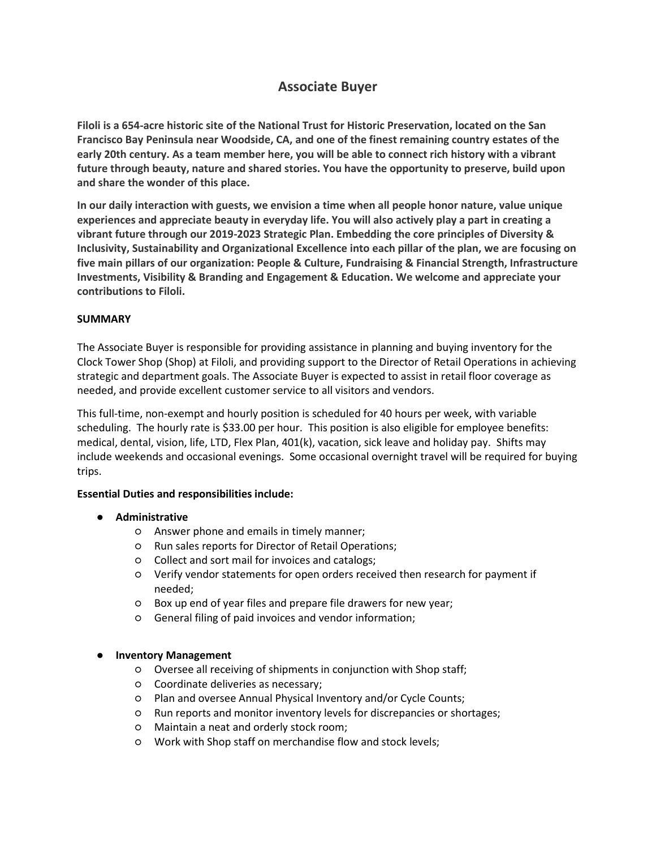# **Associate Buyer**

**Filoli is a 654-acre historic site of the National Trust for Historic Preservation, located on the San Francisco Bay Peninsula near Woodside, CA, and one of the finest remaining country estates of the early 20th century. As a team member here, you will be able to connect rich history with a vibrant future through beauty, nature and shared stories. You have the opportunity to preserve, build upon and share the wonder of this place.**

**In our daily interaction with guests, we envision a time when all people honor nature, value unique experiences and appreciate beauty in everyday life. You will also actively play a part in creating a vibrant future through our 2019-2023 Strategic Plan. Embedding the core principles of Diversity & Inclusivity, Sustainability and Organizational Excellence into each pillar of the plan, we are focusing on five main pillars of our organization: People & Culture, Fundraising & Financial Strength, Infrastructure Investments, Visibility & Branding and Engagement & Education. We welcome and appreciate your contributions to Filoli.**

# **SUMMARY**

The Associate Buyer is responsible for providing assistance in planning and buying inventory for the Clock Tower Shop (Shop) at Filoli, and providing support to the Director of Retail Operations in achieving strategic and department goals. The Associate Buyer is expected to assist in retail floor coverage as needed, and provide excellent customer service to all visitors and vendors.

This full-time, non-exempt and hourly position is scheduled for 40 hours per week, with variable scheduling. The hourly rate is \$33.00 per hour. This position is also eligible for employee benefits: medical, dental, vision, life, LTD, Flex Plan, 401(k), vacation, sick leave and holiday pay. Shifts may include weekends and occasional evenings. Some occasional overnight travel will be required for buying trips.

# **Essential Duties and responsibilities include:**

- **Administrative**
	- Answer phone and emails in timely manner;
	- Run sales reports for Director of Retail Operations;
	- Collect and sort mail for invoices and catalogs;
	- Verify vendor statements for open orders received then research for payment if needed;
	- Box up end of year files and prepare file drawers for new year;
	- General filing of paid invoices and vendor information;

# ● **Inventory Management**

- Oversee all receiving of shipments in conjunction with Shop staff;
- Coordinate deliveries as necessary;
- Plan and oversee Annual Physical Inventory and/or Cycle Counts;
- Run reports and monitor inventory levels for discrepancies or shortages;
- Maintain a neat and orderly stock room;
- Work with Shop staff on merchandise flow and stock levels;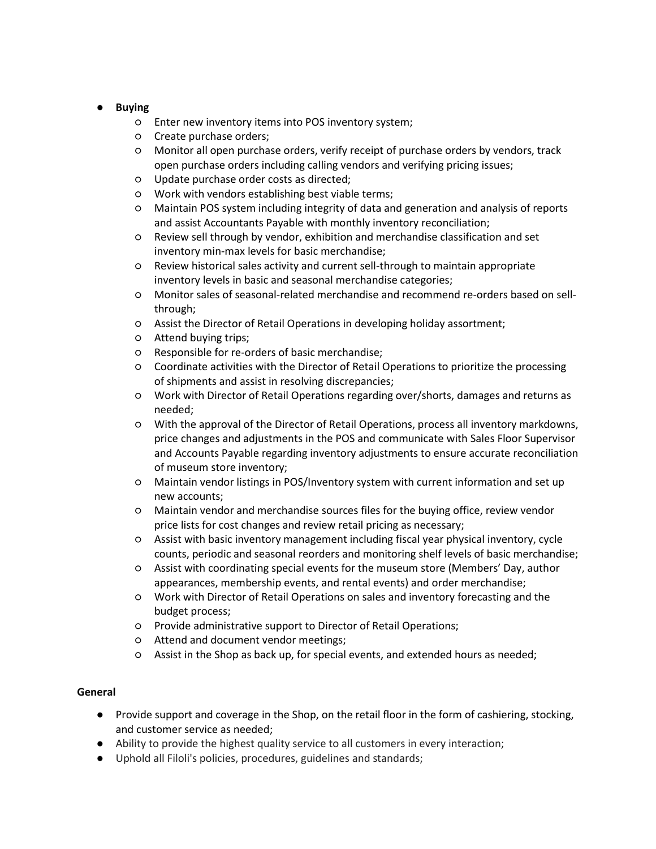# ● **Buying**

- Enter new inventory items into POS inventory system;
- Create purchase orders;
- Monitor all open purchase orders, verify receipt of purchase orders by vendors, track open purchase orders including calling vendors and verifying pricing issues;
- Update purchase order costs as directed;
- Work with vendors establishing best viable terms;
- Maintain POS system including integrity of data and generation and analysis of reports and assist Accountants Payable with monthly inventory reconciliation;
- Review sell through by vendor, exhibition and merchandise classification and set inventory min-max levels for basic merchandise;
- Review historical sales activity and current sell-through to maintain appropriate inventory levels in basic and seasonal merchandise categories;
- Monitor sales of seasonal-related merchandise and recommend re-orders based on sellthrough;
- Assist the Director of Retail Operations in developing holiday assortment;
- Attend buying trips;
- Responsible for re-orders of basic merchandise;
- Coordinate activities with the Director of Retail Operations to prioritize the processing of shipments and assist in resolving discrepancies;
- Work with Director of Retail Operations regarding over/shorts, damages and returns as needed;
- With the approval of the Director of Retail Operations, process all inventory markdowns, price changes and adjustments in the POS and communicate with Sales Floor Supervisor and Accounts Payable regarding inventory adjustments to ensure accurate reconciliation of museum store inventory;
- Maintain vendor listings in POS/Inventory system with current information and set up new accounts;
- Maintain vendor and merchandise sources files for the buying office, review vendor price lists for cost changes and review retail pricing as necessary;
- Assist with basic inventory management including fiscal year physical inventory, cycle counts, periodic and seasonal reorders and monitoring shelf levels of basic merchandise;
- Assist with coordinating special events for the museum store (Members' Day, author appearances, membership events, and rental events) and order merchandise;
- Work with Director of Retail Operations on sales and inventory forecasting and the budget process;
- Provide administrative support to Director of Retail Operations;
- Attend and document vendor meetings;
- Assist in the Shop as back up, for special events, and extended hours as needed;

# **General**

- Provide support and coverage in the Shop, on the retail floor in the form of cashiering, stocking, and customer service as needed;
- Ability to provide the highest quality service to all customers in every interaction;
- Uphold all Filoli's policies, procedures, guidelines and standards;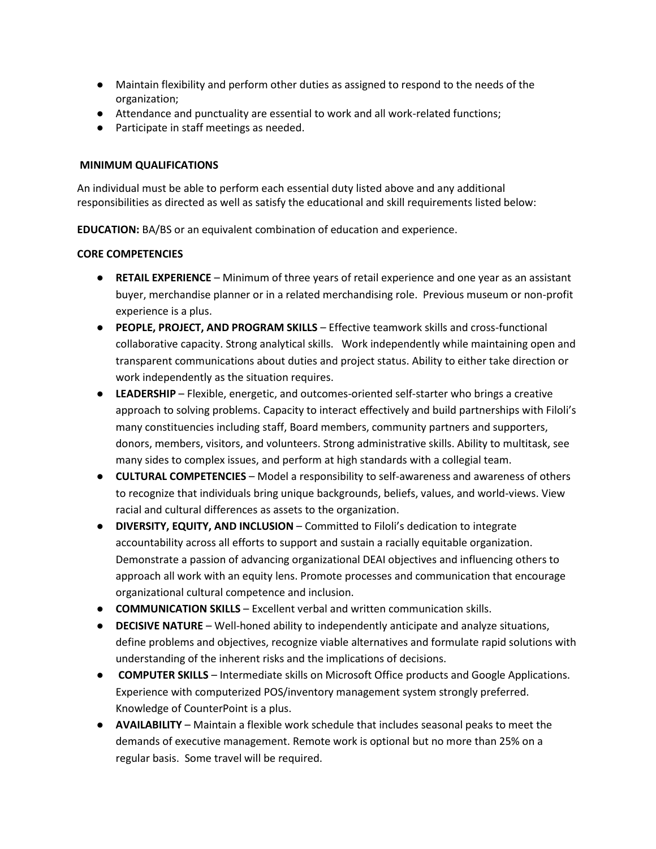- Maintain flexibility and perform other duties as assigned to respond to the needs of the organization;
- Attendance and punctuality are essential to work and all work-related functions;
- Participate in staff meetings as needed.

## **MINIMUM QUALIFICATIONS**

An individual must be able to perform each essential duty listed above and any additional responsibilities as directed as well as satisfy the educational and skill requirements listed below:

**EDUCATION:** BA/BS or an equivalent combination of education and experience.

#### **CORE COMPETENCIES**

- **RETAIL EXPERIENCE** Minimum of three years of retail experience and one year as an assistant buyer, merchandise planner or in a related merchandising role. Previous museum or non-profit experience is a plus.
- **PEOPLE, PROJECT, AND PROGRAM SKILLS** Effective teamwork skills and cross-functional collaborative capacity. Strong analytical skills. Work independently while maintaining open and transparent communications about duties and project status. Ability to either take direction or work independently as the situation requires.
- **LEADERSHIP**  Flexible, energetic, and outcomes-oriented self-starter who brings a creative approach to solving problems. Capacity to interact effectively and build partnerships with Filoli's many constituencies including staff, Board members, community partners and supporters, donors, members, visitors, and volunteers. Strong administrative skills. Ability to multitask, see many sides to complex issues, and perform at high standards with a collegial team.
- **CULTURAL COMPETENCIES** Model a responsibility to self-awareness and awareness of others to recognize that individuals bring unique backgrounds, beliefs, values, and world-views. View racial and cultural differences as assets to the organization.
- **DIVERSITY, EQUITY, AND INCLUSION**  Committed to Filoli's dedication to integrate accountability across all efforts to support and sustain a racially equitable organization. Demonstrate a passion of advancing organizational DEAI objectives and influencing others to approach all work with an equity lens. Promote processes and communication that encourage organizational cultural competence and inclusion.
- **COMMUNICATION SKILLS** Excellent verbal and written communication skills.
- **DECISIVE NATURE**  Well-honed ability to independently anticipate and analyze situations, define problems and objectives, recognize viable alternatives and formulate rapid solutions with understanding of the inherent risks and the implications of decisions.
- **COMPUTER SKILLS**  Intermediate skills on Microsoft Office products and Google Applications. Experience with computerized POS/inventory management system strongly preferred. Knowledge of CounterPoint is a plus.
- **AVAILABILITY** Maintain a flexible work schedule that includes seasonal peaks to meet the demands of executive management. Remote work is optional but no more than 25% on a regular basis. Some travel will be required.